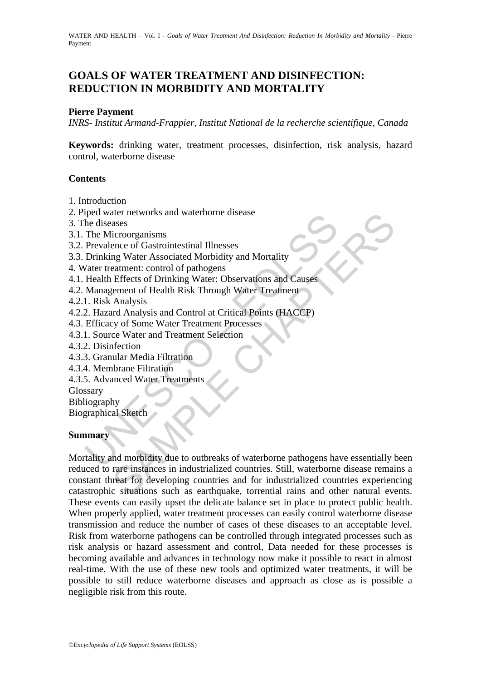WATER AND HEALTH - Vol. I - *Goals of Water Treatment And Disinfection: Reduction In Morbidity and Mortality* - Pierre Payment

# **GOALS OF WATER TREATMENT AND DISINFECTION: REDUCTION IN MORBIDITY AND MORTALITY**

#### **Pierre Payment**

*INRS- Institut Armand-Frappier, Institut National de la recherche scientifique, Canada* 

**Keywords:** drinking water, treatment processes, disinfection, risk analysis, hazard control, waterborne disease

#### **Contents**

- 1. Introduction
- 2. Piped water networks and waterborne disease
- 3. The diseases
- 3.1. The Microorganisms
- 3.2. Prevalence of Gastrointestinal Illnesses
- 3.3. Drinking Water Associated Morbidity and Mortality
- 4. Water treatment: control of pathogens
- 4.1. Health Effects of Drinking Water: Observations and Causes
- 4.2. Management of Health Risk Through Water Treatment
- 4.2.1. Risk Analysis
- 4.2.2. Hazard Analysis and Control at Critical Points (HACCP)
- 4.3. Efficacy of Some Water Treatment Processes
- 4.3.1. Source Water and Treatment Selection
- 4.3.2. Disinfection
- 4.3.3. Granular Media Filtration
- 4.3.4. Membrane Filtration
- 4.3.5. Advanced Water Treatments

Glossary

Bibliography

Biographical Sketch

#### **Summary**

The diseases<br>
the diseases<br>
The Microorganisms<br>
The Microorganisms<br>
Prevalence of Gastrointestinal Illnesses<br>
Drinking Water Associated Morbidity and Mortality<br>
Vater treatment: control of pathogens<br>
Management of Health R exter networks and waterborne disease<br>
ases<br>
ases<br>
arece of Gastrointestinal Illnesses<br>
icroorganisms<br>
enece of Gastrointestinal Illnesses<br>
eatment: control of pathogens<br>
Effects of Drinking Water: Observations and Causes<br> Mortality and morbidity due to outbreaks of waterborne pathogens have essentially been reduced to rare instances in industrialized countries. Still, waterborne disease remains a constant threat for developing countries and for industrialized countries experiencing catastrophic situations such as earthquake, torrential rains and other natural events. These events can easily upset the delicate balance set in place to protect public health. When properly applied, water treatment processes can easily control waterborne disease transmission and reduce the number of cases of these diseases to an acceptable level. Risk from waterborne pathogens can be controlled through integrated processes such as risk analysis or hazard assessment and control, Data needed for these processes is becoming available and advances in technology now make it possible to react in almost real-time. With the use of these new tools and optimized water treatments, it will be possible to still reduce waterborne diseases and approach as close as is possible a negligible risk from this route.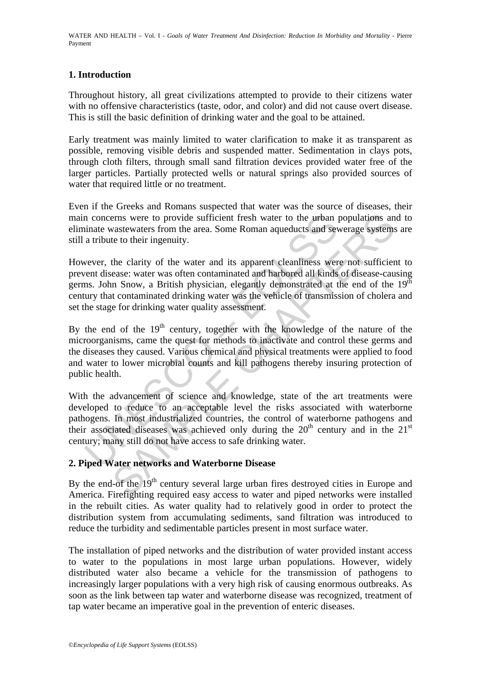# **1. Introduction**

Throughout history, all great civilizations attempted to provide to their citizens water with no offensive characteristics (taste, odor, and color) and did not cause overt disease. This is still the basic definition of drinking water and the goal to be attained.

Early treatment was mainly limited to water clarification to make it as transparent as possible, removing visible debris and suspended matter. Sedimentation in clays pots, through cloth filters, through small sand filtration devices provided water free of the larger particles. Partially protected wells or natural springs also provided sources of water that required little or no treatment.

Even if the Greeks and Romans suspected that water was the source of diseases, their main concerns were to provide sufficient fresh water to the urban populations and to eliminate wastewaters from the area. Some Roman aqueducts and sewerage systems are still a tribute to their ingenuity.

However, the clarity of the water and its apparent cleanliness were not sufficient to prevent disease: water was often contaminated and harbored all kinds of disease-causing germs. John Snow, a British physician, elegantly demonstrated at the end of the 19<sup>th</sup> century that contaminated drinking water was the vehicle of transmission of cholera and set the stage for drinking water quality assessment.

In concerns were to provide sufficient fresh water to the urban pinate wastewaters from the area. Some Roman aqueducts and set a tribute to their ingenuity.<br>
wever, the clarity of the water and its apparent cleanliness we erns were to provide sufficient fresh water to the urban populations an wastewaters from the area. Some Roman aqueducts and sewerage systems te to their ingenuity.<br>
the clarity of the water and its apparent cleanliness we By the end of the  $19<sup>th</sup>$  century, together with the knowledge of the nature of the microorganisms, came the quest for methods to inactivate and control these germs and the diseases they caused. Various chemical and physical treatments were applied to food and water to lower microbial counts and kill pathogens thereby insuring protection of public health.

With the advancement of science and knowledge, state of the art treatments were developed to reduce to an acceptable level the risks associated with waterborne pathogens. In most industrialized countries, the control of waterborne pathogens and their associated diseases was achieved only during the  $20<sup>th</sup>$  century and in the  $21<sup>st</sup>$ century; many still do not have access to safe drinking water.

# **2. Piped Water networks and Waterborne Disease**

By the end-of the 19<sup>th</sup> century several large urban fires destroyed cities in Europe and America. Firefighting required easy access to water and piped networks were installed in the rebuilt cities. As water quality had to relatively good in order to protect the distribution system from accumulating sediments, sand filtration was introduced to reduce the turbidity and sedimentable particles present in most surface water.

The installation of piped networks and the distribution of water provided instant access to water to the populations in most large urban populations. However, widely distributed water also became a vehicle for the transmission of pathogens to increasingly larger populations with a very high risk of causing enormous outbreaks. As soon as the link between tap water and waterborne disease was recognized, treatment of tap water became an imperative goal in the prevention of enteric diseases.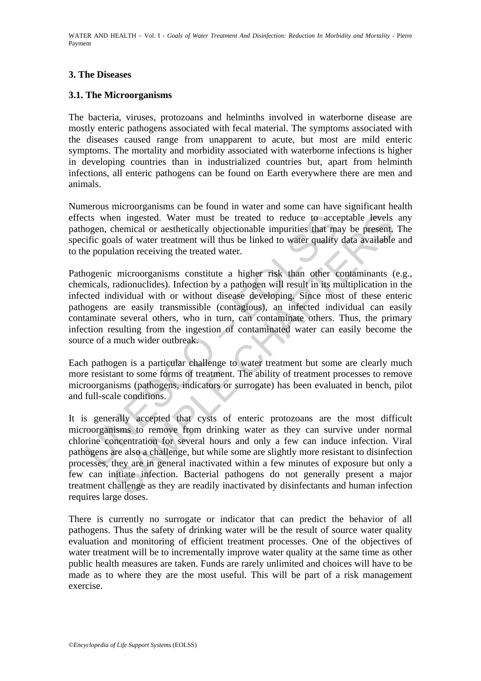WATER AND HEALTH - Vol. I - *Goals of Water Treatment And Disinfection: Reduction In Morbidity and Mortality* - Pierre Payment

## **3. The Diseases**

### **3.1. The Microorganisms**

The bacteria, viruses, protozoans and helminths involved in waterborne disease are mostly enteric pathogens associated with fecal material. The symptoms associated with the diseases caused range from unapparent to acute, but most are mild enteric symptoms. The mortality and morbidity associated with waterborne infections is higher in developing countries than in industrialized countries but, apart from helminth infections, all enteric pathogens can be found on Earth everywhere there are men and animals.

Numerous microorganisms can be found in water and some can have significant health effects when ingested. Water must be treated to reduce to acceptable levels any pathogen, chemical or aesthetically objectionable impurities that may be present. The specific goals of water treatment will thus be linked to water quality data available and to the population receiving the treated water.

cts when ingested. Water must be treated to reduce to acceto<br>cogen, chemical or aesthetically objectionable impurities that maiffic goals of water treatment will thus be linked to water quality<br>repopulation receiving the t Pathogenic microorganisms constitute a higher risk than other contaminants (e.g., chemicals, radionuclides). Infection by a pathogen will result in its multiplication in the infected individual with or without disease developing. Since most of these enteric pathogens are easily transmissible (contagious), an infected individual can easily contaminate several others, who in turn, can contaminate others. Thus, the primary infection resulting from the ingestion of contaminated water can easily become the source of a much wider outbreak.

Each pathogen is a particular challenge to water treatment but some are clearly much more resistant to some forms of treatment. The ability of treatment processes to remove microorganisms (pathogens, indicators or surrogate) has been evaluated in bench, pilot and full-scale conditions.

en ingested. Water must be treated to reduce to acceptable levels<br>chemical or aesthetically objectionable impurities that may be present,<br>also fo water treatment will thus be linked to water quality data available<br>lation r It is generally accepted that cysts of enteric protozoans are the most difficult microorganisms to remove from drinking water as they can survive under normal chlorine concentration for several hours and only a few can induce infection. Viral pathogens are also a challenge, but while some are slightly more resistant to disinfection processes, they are in general inactivated within a few minutes of exposure but only a few can initiate infection. Bacterial pathogens do not generally present a major treatment challenge as they are readily inactivated by disinfectants and human infection requires large doses.

There is currently no surrogate or indicator that can predict the behavior of all pathogens. Thus the safety of drinking water will be the result of source water quality evaluation and monitoring of efficient treatment processes. One of the objectives of water treatment will be to incrementally improve water quality at the same time as other public health measures are taken. Funds are rarely unlimited and choices will have to be made as to where they are the most useful. This will be part of a risk management exercise.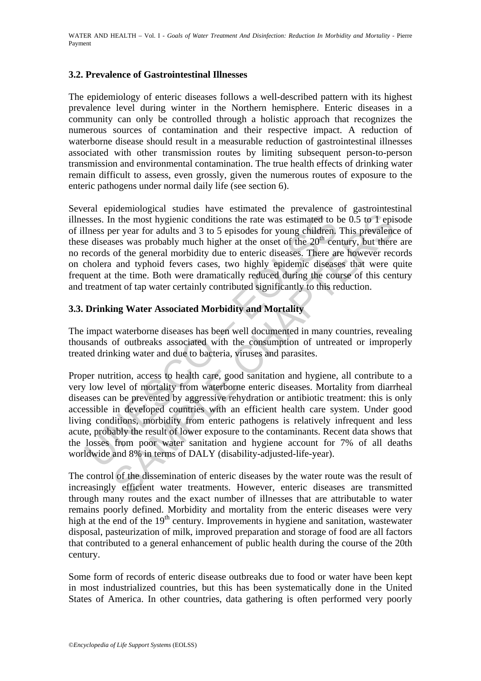## **3.2. Prevalence of Gastrointestinal Illnesses**

The epidemiology of enteric diseases follows a well-described pattern with its highest prevalence level during winter in the Northern hemisphere. Enteric diseases in a community can only be controlled through a holistic approach that recognizes the numerous sources of contamination and their respective impact. A reduction of waterborne disease should result in a measurable reduction of gastrointestinal illnesses associated with other transmission routes by limiting subsequent person-to-person transmission and environmental contamination. The true health effects of drinking water remain difficult to assess, even grossly, given the numerous routes of exposure to the enteric pathogens under normal daily life (see section 6).

Several epidemiological studies have estimated the prevalence of gastrointestinal illnesses. In the most hygienic conditions the rate was estimated to be 0.5 to  $\overline{1}$  episode of illness per year for adults and 3 to 5 episodes for young children. This prevalence of these diseases was probably much higher at the onset of the  $20<sup>th</sup>$  century, but there are no records of the general morbidity due to enteric diseases. There are however records on cholera and typhoid fevers cases, two highly epidemic diseases that were quite frequent at the time. Both were dramatically reduced during the course of this century and treatment of tap water certainly contributed significantly to this reduction.

# **3.3. Drinking Water Associated Morbidity and Mortality**

The impact waterborne diseases has been well documented in many countries, revealing thousands of outbreaks associated with the consumption of untreated or improperly treated drinking water and due to bacteria, viruses and parasites.

ssess. In the most hygienic conditions the rate was estimated to thess per year for adults and 3 to 5 episodes for young children, e diseases was probably much higher at the onset of the 20<sup>th</sup> cereords of the general morb In the most hygienic conditions the rate was estimated to be 0.5 to 1 episor eye er year for adults and 3 to 5 episodes for young children. This prevalences was probably much higher at the onset of the 20<sup>th</sup> entury, but Proper nutrition, access to health care, good sanitation and hygiene, all contribute to a very low level of mortality from waterborne enteric diseases. Mortality from diarrheal diseases can be prevented by aggressive rehydration or antibiotic treatment: this is only accessible in developed countries with an efficient health care system. Under good living conditions, morbidity from enteric pathogens is relatively infrequent and less acute, probably the result of lower exposure to the contaminants. Recent data shows that the losses from poor water sanitation and hygiene account for 7% of all deaths worldwide and 8% in terms of DALY (disability-adjusted-life-year).

The control of the dissemination of enteric diseases by the water route was the result of increasingly efficient water treatments. However, enteric diseases are transmitted through many routes and the exact number of illnesses that are attributable to water remains poorly defined. Morbidity and mortality from the enteric diseases were very high at the end of the 19<sup>th</sup> century. Improvements in hygiene and sanitation, wastewater disposal, pasteurization of milk, improved preparation and storage of food are all factors that contributed to a general enhancement of public health during the course of the 20th century.

Some form of records of enteric disease outbreaks due to food or water have been kept in most industrialized countries, but this has been systematically done in the United States of America. In other countries, data gathering is often performed very poorly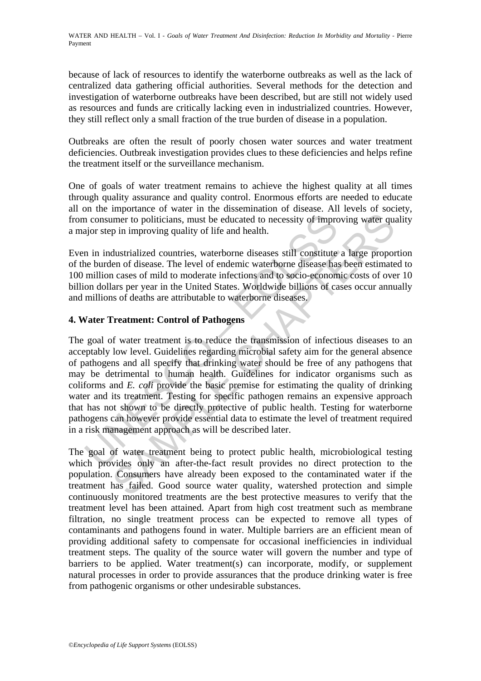WATER AND HEALTH - Vol. I - *Goals of Water Treatment And Disinfection: Reduction In Morbidity and Mortality* - Pierre Payment

because of lack of resources to identify the waterborne outbreaks as well as the lack of centralized data gathering official authorities. Several methods for the detection and investigation of waterborne outbreaks have been described, but are still not widely used as resources and funds are critically lacking even in industrialized countries. However, they still reflect only a small fraction of the true burden of disease in a population.

Outbreaks are often the result of poorly chosen water sources and water treatment deficiencies. Outbreak investigation provides clues to these deficiencies and helps refine the treatment itself or the surveillance mechanism.

One of goals of water treatment remains to achieve the highest quality at all times through quality assurance and quality control. Enormous efforts are needed to educate all on the importance of water in the dissemination of disease. All levels of society, from consumer to politicians, must be educated to necessity of improving water quality a major step in improving quality of life and health.

Even in industrialized countries, waterborne diseases still constitute a large proportion of the burden of disease. The level of endemic waterborne disease has been estimated to 100 million cases of mild to moderate infections and to socio-economic costs of over 10 billion dollars per year in the United States. Worldwide billions of cases occur annually and millions of deaths are attributable to waterborne diseases.

## **4. Water Treatment: Control of Pathogens**

In consumer to politicians, must be educated to necessity of improsity of moral and the main improving quality of life and health.<br>
In in industrialized countries, waterborne diseases still constitute<br>
the burden of diseas ment to politicians, must be educated to necessity of improving water quality or improving quality of life and health.<br>
dustrialized countries, waterborne diseases still constitute a large proponen of disease. The level of The goal of water treatment is to reduce the transmission of infectious diseases to an acceptably low level. Guidelines regarding microbial safety aim for the general absence of pathogens and all specify that drinking water should be free of any pathogens that may be detrimental to human health. Guidelines for indicator organisms such as coliforms and *E. coli* provide the basic premise for estimating the quality of drinking water and its treatment. Testing for specific pathogen remains an expensive approach that has not shown to be directly protective of public health. Testing for waterborne pathogens can however provide essential data to estimate the level of treatment required in a risk management approach as will be described later.

The goal of water treatment being to protect public health, microbiological testing which provides only an after-the-fact result provides no direct protection to the population. Consumers have already been exposed to the contaminated water if the treatment has failed. Good source water quality, watershed protection and simple continuously monitored treatments are the best protective measures to verify that the treatment level has been attained. Apart from high cost treatment such as membrane filtration, no single treatment process can be expected to remove all types of contaminants and pathogens found in water. Multiple barriers are an efficient mean of providing additional safety to compensate for occasional inefficiencies in individual treatment steps. The quality of the source water will govern the number and type of barriers to be applied. Water treatment(s) can incorporate, modify, or supplement natural processes in order to provide assurances that the produce drinking water is free from pathogenic organisms or other undesirable substances.